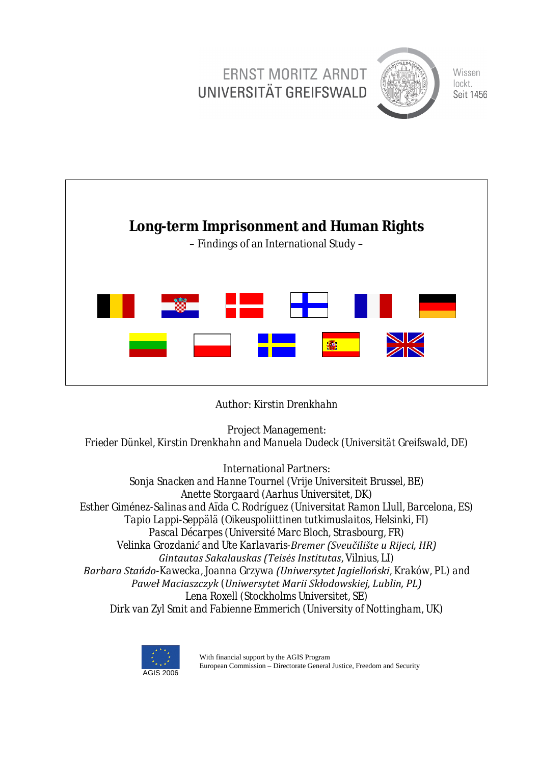



Author: *Kirstin Drenkhahn*

Project Management:

*Frieder Dünkel, Kirstin Drenkhahn and Manuela Dudeck (Universität Greifswald, DE)*

International Partners: *Sonja Snacken and Hanne Tournel (Vrije Universiteit Brussel, BE) Anette Storgaard (Aarhus Universitet, DK) Esther Giménez-Salinas and Aïda C. Rodríguez (Universitat Ramon Llull, Barcelona, ES) Tapio Lappi-Seppälä (Oikeuspoliittinen tutkimuslaitos, Helsinki, FI) Pascal Décarpes (Université Marc Bloch, Strasbourg, FR) Velinka Grozdanić and Ute Karlavaris-Bremer (Sveučilište u Rijeci, HR) Gintautas Sakalauskas (Teisės Institutas, Vilnius, LI)* Barbara Stańdo-Kawecka, Joanna Grzywa (Uniwersytet *Jagielloński*, Kraków, PL) and Paweł Maciaszczyk (Uniwersytet Marii Skłodowskiej, Lublin, PL) *Lena Roxell (Stockholms Universitet, SE) Dirk van Zyl Smit and Fabienne Emmerich (University of Nottingham, UK)*



With financial support by the AGIS Program European Commission – Directorate General Justice, Freedom and Security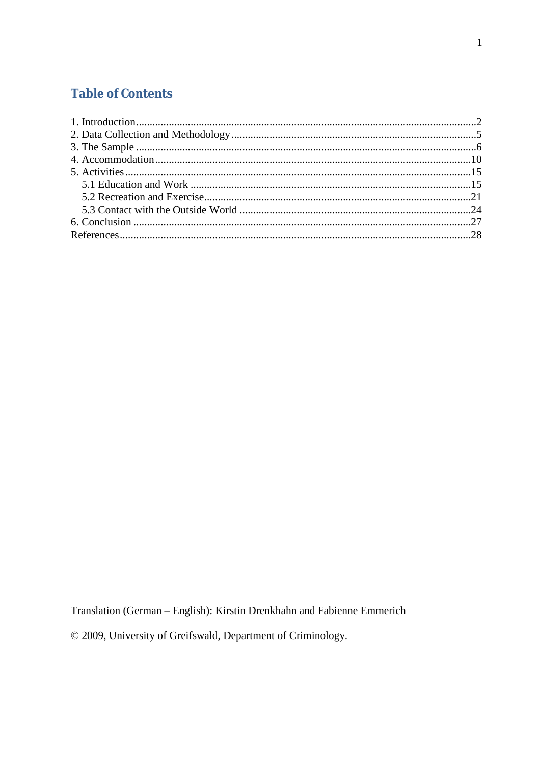## **Table of Contents**

Translation (German - English): Kirstin Drenkhahn and Fabienne Emmerich

© 2009, University of Greifswald, Department of Criminology.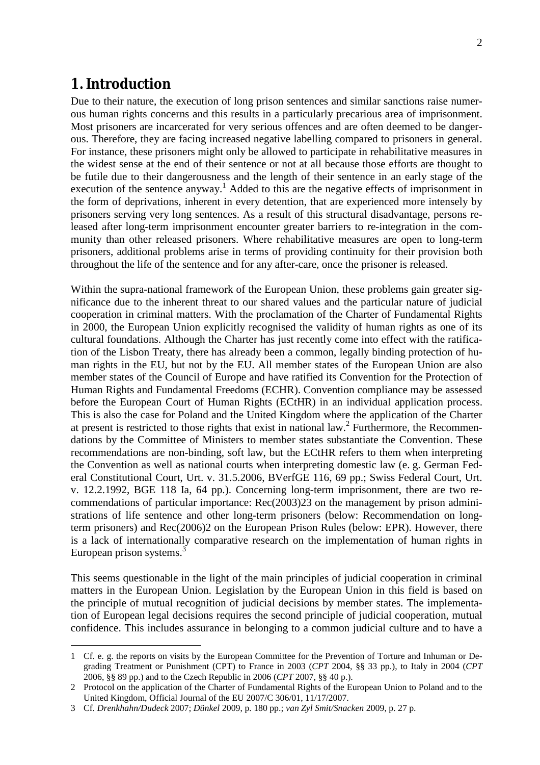## **1. Introduction**

Due to their nature, the execution of long prison sentences and similar sanctions raise numerous human rights concerns and this results in a particularly precarious area of imprisonment. Most prisoners are incarcerated for very serious offences and are often deemed to be dangerous. Therefore, they are facing increased negative labelling compared to prisoners in general. For instance, these prisoners might only be allowed to participate in rehabilitative measures in the widest sense at the end of their sentence or not at all because those efforts are thought to be futile due to their dangerousness and the length of their sentence in an early stage of the execution of the sentence anyway.<sup>1</sup> Added to this are the negative effects of imprisonment in the form of deprivations, inherent in every detention, that are experienced more intensely by prisoners serving very long sentences. As a result of this structural disadvantage, persons released after long-term imprisonment encounter greater barriers to re-integration in the community than other released prisoners. Where rehabilitative measures are open to long-term prisoners, additional problems arise in terms of providing continuity for their provision both throughout the life of the sentence and for any after-care, once the prisoner is released.

Within the supra-national framework of the European Union, these problems gain greater significance due to the inherent threat to our shared values and the particular nature of judicial cooperation in criminal matters. With the proclamation of the Charter of Fundamental Rights in 2000, the European Union explicitly recognised the validity of human rights as one of its cultural foundations. Although the Charter has just recently come into effect with the ratification of the Lisbon Treaty, there has already been a common, legally binding protection of human rights in the EU, but not by the EU. All member states of the European Union are also member states of the Council of Europe and have ratified its Convention for the Protection of Human Rights and Fundamental Freedoms (ECHR). Convention compliance may be assessed before the European Court of Human Rights (ECtHR) in an individual application process. This is also the case for Poland and the United Kingdom where the application of the Charter at present is restricted to those rights that exist in national law.<sup>2</sup> Furthermore, the Recommendations by the Committee of Ministers to member states substantiate the Convention. These recommendations are non-binding, soft law, but the ECtHR refers to them when interpreting the Convention as well as national courts when interpreting domestic law (e. g. German Federal Constitutional Court, Urt. v. 31.5.2006, BVerfGE 116, 69 pp.; Swiss Federal Court, Urt. v. 12.2.1992, BGE 118 Ia, 64 pp.). Concerning long-term imprisonment, there are two recommendations of particular importance: Rec(2003)23 on the management by prison administrations of life sentence and other long-term prisoners (below: Recommendation on longterm prisoners) and Rec(2006)2 on the European Prison Rules (below: EPR). However, there is a lack of internationally comparative research on the implementation of human rights in European prison systems.<sup>3</sup>

This seems questionable in the light of the main principles of judicial cooperation in criminal matters in the European Union. Legislation by the European Union in this field is based on the principle of mutual recognition of judicial decisions by member states. The implementation of European legal decisions requires the second principle of judicial cooperation, mutual confidence. This includes assurance in belonging to a common judicial culture and to have a

<sup>1</sup> Cf. e. g. the reports on visits by the European Committee for the Prevention of Torture and Inhuman or Degrading Treatment or Punishment (CPT) to France in 2003 (*CPT* 2004, §§ 33 pp.), to Italy in 2004 (*CPT* 2006, §§ 89 pp.) and to the Czech Republic in 2006 (*CPT* 2007, §§ 40 p.).

<sup>2</sup> Protocol on the application of the Charter of Fundamental Rights of the European Union to Poland and to the United Kingdom, Official Journal of the EU 2007/C 306/01, 11/17/2007.

<sup>3</sup> Cf. *Drenkhahn/Dudeck* 2007; *Dünkel* 2009, p. 180 pp.; *van Zyl Smit/Snacken* 2009, p. 27 p.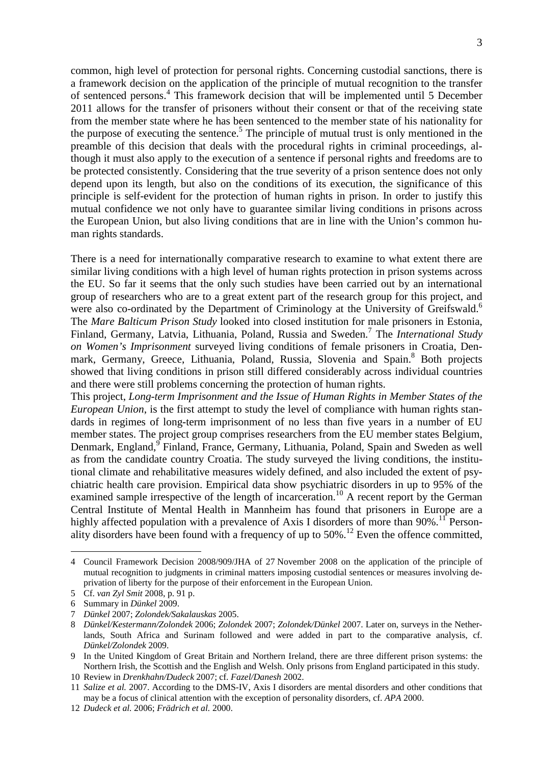common, high level of protection for personal rights. Concerning custodial sanctions, there is a framework decision on the application of the principle of mutual recognition to the transfer of sentenced persons. 4 This framework decision that will be implemented until 5 December 2011 allows for the transfer of prisoners without their consent or that of the receiving state from the member state where he has been sentenced to the member state of his nationality for the purpose of executing the sentence. 5 The principle of mutual trust is only mentioned in the preamble of this decision that deals with the procedural rights in criminal proceedings, although it must also apply to the execution of a sentence if personal rights and freedoms are to be protected consistently. Considering that the true severity of a prison sentence does not only depend upon its length, but also on the conditions of its execution, the significance of this principle is self-evident for the protection of human rights in prison. In order to justify this mutual confidence we not only have to guarantee similar living conditions in prisons across the European Union, but also living conditions that are in line with the Union's common human rights standards.

There is a need for internationally comparative research to examine to what extent there are similar living conditions with a high level of human rights protection in prison systems across the EU. So far it seems that the only such studies have been carried out by an international group of researchers who are to a great extent part of the research group for this project, and were also co-ordinated by the Department of Criminology at the University of Greifswald.<sup>6</sup> The *Mare Balticum Prison Study* looked into closed institution for male prisoners in Estonia, Finland, Germany, Latvia, Lithuania, Poland, Russia and Sweden. 7 The *International Study on Women's Imprisonment* surveyed living conditions of female prisoners in Croatia, Denmark, Germany, Greece, Lithuania, Poland, Russia, Slovenia and Spain.<sup>8</sup> Both projects showed that living conditions in prison still differed considerably across individual countries and there were still problems concerning the protection of human rights.

This project, *Long-term Imprisonment and the Issue of Human Rights in Member States of the European Union*, is the first attempt to study the level of compliance with human rights standards in regimes of long-term imprisonment of no less than five years in a number of EU member states. The project group comprises researchers from the EU member states Belgium, Denmark, England, <sup>9</sup> Finland, France, Germany, Lithuania, Poland, Spain and Sweden as well as from the candidate country Croatia. The study surveyed the living conditions, the institutional climate and rehabilitative measures widely defined, and also included the extent of psychiatric health care provision. Empirical data show psychiatric disorders in up to 95% of the examined sample irrespective of the length of incarceration.<sup>10</sup> A recent report by the German Central Institute of Mental Health in Mannheim has found that prisoners in Europe are a highly affected population with a prevalence of Axis I disorders of more than  $90\%$ .<sup>11</sup> Personality disorders have been found with a frequency of up to  $50\%$ .<sup>12</sup> Even the offence committed,

<sup>4</sup> Council Framework Decision 2008/909/JHA of 27 November 2008 on the application of the principle of mutual recognition to judgments in criminal matters imposing custodial sentences or measures involving deprivation of liberty for the purpose of their enforcement in the European Union.

<sup>5</sup> Cf. *van Zyl Smit* 2008, p. 91 p.

<sup>6</sup> Summary in *Dünkel* 2009.

<sup>7</sup> *Dünkel* 2007; *Zolondek/Sakalauskas* 2005.

<sup>8</sup> *Dünkel/Kestermann/Zolondek* 2006; *Zolondek* 2007; *Zolondek/Dünkel* 2007. Later on, surveys in the Netherlands, South Africa and Surinam followed and were added in part to the comparative analysis, cf. *Dünkel/Zolondek* 2009.

<sup>9</sup> In the United Kingdom of Great Britain and Northern Ireland, there are three different prison systems: the Northern Irish, the Scottish and the English and Welsh. Only prisons from England participated in this study.

<sup>10</sup> Review in *Drenkhahn/Dudeck* 2007; cf. *Fazel/Danesh* 2002.

<sup>11</sup> *Salize et al.* 2007. According to the DMS-IV, Axis I disorders are mental disorders and other conditions that may be a focus of clinical attention with the exception of personality disorders, cf. *APA* 2000.

<sup>12</sup> *Dudeck et al.* 2006; *Frädrich et al.* 2000.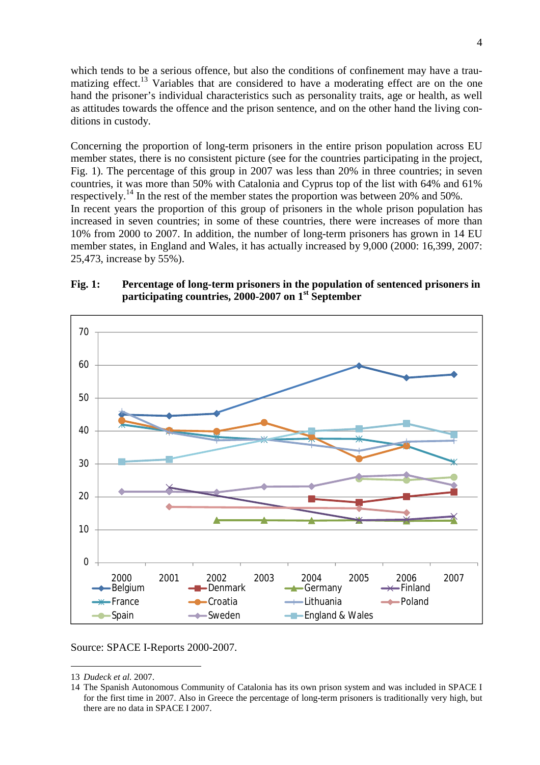which tends to be a serious offence, but also the conditions of confinement may have a traumatizing effect.<sup>13</sup> Variables that are considered to have a moderating effect are on the one hand the prisoner's individual characteristics such as personality traits, age or health, as well as attitudes towards the offence and the prison sentence, and on the other hand the living conditions in custody.

Concerning the proportion of long-term prisoners in the entire prison population across EU member states, there is no consistent picture (see for the countries participating in the project, Fig. 1). The percentage of this group in 2007 was less than 20% in three countries; in seven countries, it was more than 50% with Catalonia and Cyprus top of the list with 64% and 61% respectively.<sup>14</sup> In the rest of the member states the proportion was between 20% and 50%. In recent years the proportion of this group of prisoners in the whole prison population has increased in seven countries; in some of these countries, there were increases of more than 10% from 2000 to 2007. In addition, the number of long-term prisoners has grown in 14 EU member states, in England and Wales, it has actually increased by 9,000 (2000: 16,399, 2007: 25,473, increase by 55%).



#### **Fig. 1: Percentage of long-term prisoners in the population of sentenced prisoners in participating countries, 2000-2007 on 1st September**

Source: SPACE I-Reports 2000-2007.

<sup>13</sup> *Dudeck et al.* 2007.

<sup>14</sup> The Spanish Autonomous Community of Catalonia has its own prison system and was included in SPACE I for the first time in 2007. Also in Greece the percentage of long-term prisoners is traditionally very high, but there are no data in SPACE I 2007.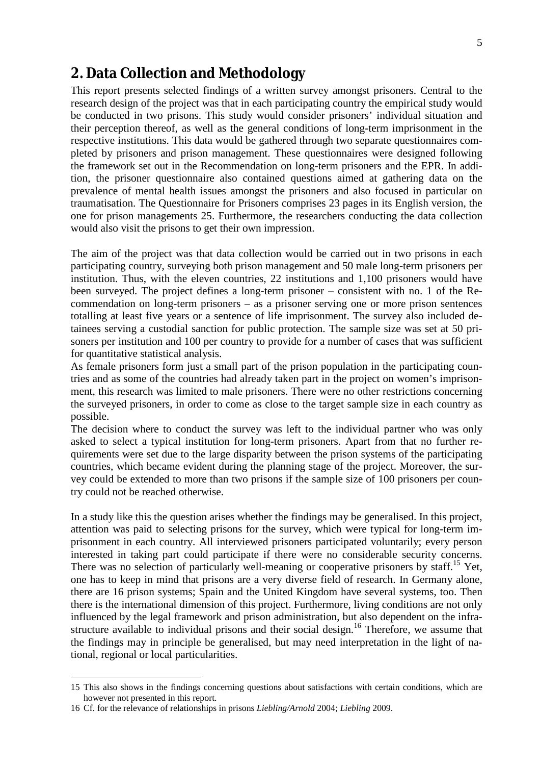5

# **2. Data Collection and Methodology**

This report presents selected findings of a written survey amongst prisoners. Central to the research design of the project was that in each participating country the empirical study would be conducted in two prisons. This study would consider prisoners' individual situation and their perception thereof, as well as the general conditions of long-term imprisonment in the respective institutions. This data would be gathered through two separate questionnaires completed by prisoners and prison management. These questionnaires were designed following the framework set out in the Recommendation on long-term prisoners and the EPR. In addition, the prisoner questionnaire also contained questions aimed at gathering data on the prevalence of mental health issues amongst the prisoners and also focused in particular on traumatisation. The Questionnaire for Prisoners comprises 23 pages in its English version, the one for prison managements 25. Furthermore, the researchers conducting the data collection would also visit the prisons to get their own impression.

The aim of the project was that data collection would be carried out in two prisons in each participating country, surveying both prison management and 50 male long-term prisoners per institution. Thus, with the eleven countries, 22 institutions and 1,100 prisoners would have been surveyed. The project defines a long-term prisoner – consistent with no. 1 of the Recommendation on long-term prisoners – as a prisoner serving one or more prison sentences totalling at least five years or a sentence of life imprisonment. The survey also included detainees serving a custodial sanction for public protection. The sample size was set at 50 prisoners per institution and 100 per country to provide for a number of cases that was sufficient for quantitative statistical analysis.

As female prisoners form just a small part of the prison population in the participating countries and as some of the countries had already taken part in the project on women's imprisonment, this research was limited to male prisoners. There were no other restrictions concerning the surveyed prisoners, in order to come as close to the target sample size in each country as possible.

The decision where to conduct the survey was left to the individual partner who was only asked to select a typical institution for long-term prisoners. Apart from that no further requirements were set due to the large disparity between the prison systems of the participating countries, which became evident during the planning stage of the project. Moreover, the survey could be extended to more than two prisons if the sample size of 100 prisoners per country could not be reached otherwise.

In a study like this the question arises whether the findings may be generalised. In this project, attention was paid to selecting prisons for the survey, which were typical for long-term imprisonment in each country. All interviewed prisoners participated voluntarily; every person interested in taking part could participate if there were no considerable security concerns. There was no selection of particularly well-meaning or cooperative prisoners by staff.<sup>15</sup> Yet, one has to keep in mind that prisons are a very diverse field of research. In Germany alone, there are 16 prison systems; Spain and the United Kingdom have several systems, too. Then there is the international dimension of this project. Furthermore, living conditions are not only influenced by the legal framework and prison administration, but also dependent on the infrastructure available to individual prisons and their social design.<sup>16</sup> Therefore, we assume that the findings may in principle be generalised, but may need interpretation in the light of national, regional or local particularities.

<sup>15</sup> This also shows in the findings concerning questions about satisfactions with certain conditions, which are however not presented in this report.

<sup>16</sup> Cf. for the relevance of relationships in prisons *Liebling/Arnold* 2004; *Liebling* 2009.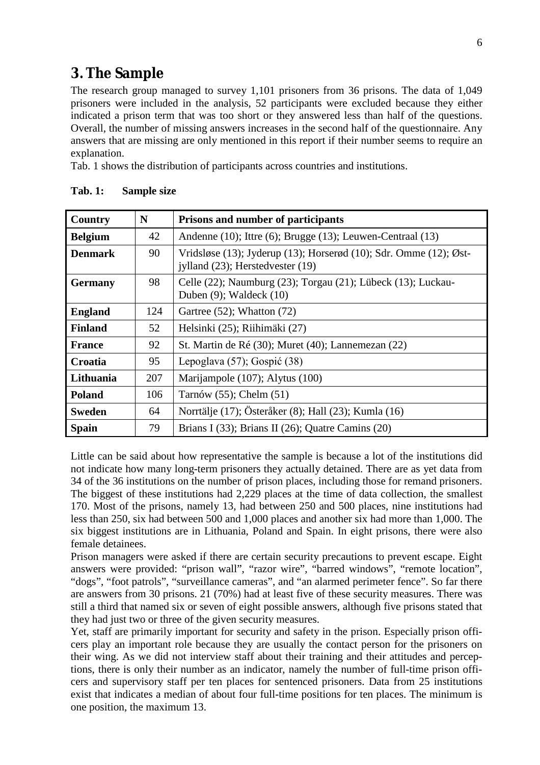## **3. The Sample**

The research group managed to survey 1,101 prisoners from 36 prisons. The data of 1,049 prisoners were included in the analysis, 52 participants were excluded because they either indicated a prison term that was too short or they answered less than half of the questions. Overall, the number of missing answers increases in the second half of the questionnaire. Any answers that are missing are only mentioned in this report if their number seems to require an explanation.

Tab. 1 shows the distribution of participants across countries and institutions.

| Country        | N   | Prisons and number of participants                                                                    |
|----------------|-----|-------------------------------------------------------------------------------------------------------|
| <b>Belgium</b> | 42  | Andenne (10); Ittre (6); Brugge (13); Leuwen-Centraal (13)                                            |
| <b>Denmark</b> | 90  | Vridsløse (13); Jyderup (13); Horserød (10); Sdr. Omme (12); Øst-<br>jylland (23); Herstedvester (19) |
| <b>Germany</b> | 98  | Celle (22); Naumburg (23); Torgau (21); Lübeck (13); Luckau-<br>Duben $(9)$ ; Waldeck $(10)$          |
| <b>England</b> | 124 | Gartree (52); Whatton (72)                                                                            |
| <b>Finland</b> | 52  | Helsinki (25); Riihimäki (27)                                                                         |
| <b>France</b>  | 92  | St. Martin de Ré (30); Muret (40); Lannemezan (22)                                                    |
| Croatia        | 95  | Lepoglava (57); Gospić (38)                                                                           |
| Lithuania      | 207 | Marijampole (107); Alytus (100)                                                                       |
| <b>Poland</b>  | 106 | Tarnów $(55)$ ; Chelm $(51)$                                                                          |
| <b>Sweden</b>  | 64  | Norrtälje (17); Österåker (8); Hall (23); Kumla (16)                                                  |
| <b>Spain</b>   | 79  | Brians I $(33)$ ; Brians II $(26)$ ; Quatre Camins $(20)$                                             |

**Tab. 1: Sample size**

Little can be said about how representative the sample is because a lot of the institutions did not indicate how many long-term prisoners they actually detained. There are as yet data from 34 of the 36 institutions on the number of prison places, including those for remand prisoners. The biggest of these institutions had 2,229 places at the time of data collection, the smallest 170. Most of the prisons, namely 13, had between 250 and 500 places, nine institutions had less than 250, six had between 500 and 1,000 places and another six had more than 1,000. The six biggest institutions are in Lithuania, Poland and Spain. In eight prisons, there were also female detainees.

Prison managers were asked if there are certain security precautions to prevent escape. Eight answers were provided: "prison wall", "razor wire", "barred windows", "remote location", "dogs", "foot patrols", "surveillance cameras", and "an alarmed perimeter fence". So far there are answers from 30 prisons. 21 (70%) had at least five of these security measures. There was still a third that named six or seven of eight possible answers, although five prisons stated that they had just two or three of the given security measures.

Yet, staff are primarily important for security and safety in the prison. Especially prison officers play an important role because they are usually the contact person for the prisoners on their wing. As we did not interview staff about their training and their attitudes and perceptions, there is only their number as an indicator, namely the number of full-time prison officers and supervisory staff per ten places for sentenced prisoners. Data from 25 institutions exist that indicates a median of about four full-time positions for ten places. The minimum is one position, the maximum 13.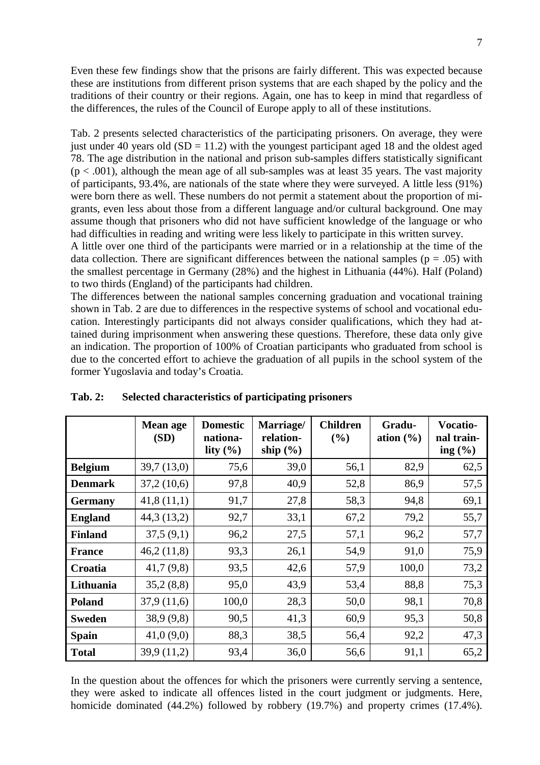Even these few findings show that the prisons are fairly different. This was expected because these are institutions from different prison systems that are each shaped by the policy and the traditions of their country or their regions. Again, one has to keep in mind that regardless of the differences, the rules of the Council of Europe apply to all of these institutions.

Tab. 2 presents selected characteristics of the participating prisoners. On average, they were just under 40 years old  $(SD = 11.2)$  with the youngest participant aged 18 and the oldest aged 78. The age distribution in the national and prison sub-samples differs statistically significant  $(p < .001)$ , although the mean age of all sub-samples was at least 35 years. The vast majority of participants, 93.4%, are nationals of the state where they were surveyed. A little less (91%) were born there as well. These numbers do not permit a statement about the proportion of migrants, even less about those from a different language and/or cultural background. One may assume though that prisoners who did not have sufficient knowledge of the language or who had difficulties in reading and writing were less likely to participate in this written survey.

A little over one third of the participants were married or in a relationship at the time of the data collection. There are significant differences between the national samples ( $p = .05$ ) with the smallest percentage in Germany (28%) and the highest in Lithuania (44%). Half (Poland) to two thirds (England) of the participants had children.

The differences between the national samples concerning graduation and vocational training shown in Tab. 2 are due to differences in the respective systems of school and vocational education. Interestingly participants did not always consider qualifications, which they had attained during imprisonment when answering these questions. Therefore, these data only give an indication. The proportion of 100% of Croatian participants who graduated from school is due to the concerted effort to achieve the graduation of all pupils in the school system of the former Yugoslavia and today's Croatia.

|                | Mean age<br>(SD) | <b>Domestic</b><br>nationa-<br>lity $(\% )$ | Marriage/<br>relation-<br>ship $(\% )$ | <b>Children</b><br>(%) | Gradu-<br>ation $(\frac{6}{6})$ | <b>Vocatio-</b><br>nal train-<br>ing $(\% )$ |
|----------------|------------------|---------------------------------------------|----------------------------------------|------------------------|---------------------------------|----------------------------------------------|
| <b>Belgium</b> | 39,7(13,0)       | 75,6                                        | 39,0                                   | 56,1                   | 82,9                            | 62,5                                         |
| <b>Denmark</b> | 37,2(10,6)       | 97,8                                        | 40,9                                   | 52,8                   | 86,9                            | 57,5                                         |
| <b>Germany</b> | 41,8(11,1)       | 91,7                                        | 27,8                                   | 58,3                   | 94,8                            | 69,1                                         |
| <b>England</b> | 44,3(13,2)       | 92,7                                        | 33,1                                   | 67,2                   | 79,2                            | 55,7                                         |
| <b>Finland</b> | 37,5(9,1)        | 96,2                                        | 27,5                                   | 57,1                   | 96,2                            | 57,7                                         |
| <b>France</b>  | 46,2(11,8)       | 93,3                                        | 26,1                                   | 54,9                   | 91,0                            | 75,9                                         |
| Croatia        | 41,7(9,8)        | 93,5                                        | 42,6                                   | 57,9                   | 100,0                           | 73,2                                         |
| Lithuania      | 35,2(8,8)        | 95,0                                        | 43,9                                   | 53,4                   | 88,8                            | 75,3                                         |
| <b>Poland</b>  | 37,9(11,6)       | 100,0                                       | 28,3                                   | 50,0                   | 98,1                            | 70,8                                         |
| <b>Sweden</b>  | 38,9(9,8)        | 90,5                                        | 41,3                                   | 60,9                   | 95,3                            | 50,8                                         |
| <b>Spain</b>   | 41,0(9,0)        | 88,3                                        | 38,5                                   | 56,4                   | 92,2                            | 47,3                                         |
| <b>Total</b>   | 39,9 (11,2)      | 93,4                                        | 36,0                                   | 56,6                   | 91,1                            | 65,2                                         |

#### **Tab. 2: Selected characteristics of participating prisoners**

In the question about the offences for which the prisoners were currently serving a sentence, they were asked to indicate all offences listed in the court judgment or judgments. Here, homicide dominated (44.2%) followed by robbery (19.7%) and property crimes (17.4%).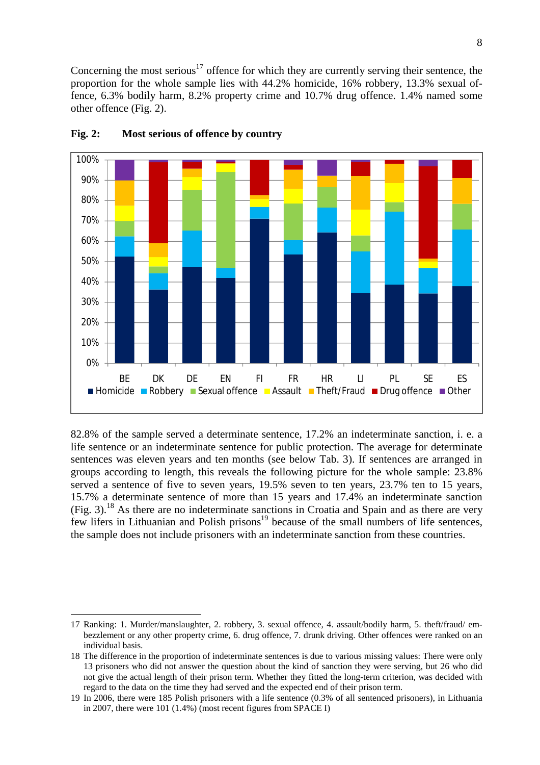Concerning the most serious<sup>17</sup> offence for which they are currently serving their sentence, the proportion for the whole sample lies with 44.2% homicide, 16% robbery, 13.3% sexual offence, 6.3% bodily harm, 8.2% property crime and 10.7% drug offence. 1.4% named some other offence (Fig. 2).



#### **Fig. 2: Most serious of offence by country**

82.8% of the sample served a determinate sentence, 17.2% an indeterminate sanction, i. e. a life sentence or an indeterminate sentence for public protection. The average for determinate sentences was eleven years and ten months (see below Tab. 3). If sentences are arranged in groups according to length, this reveals the following picture for the whole sample: 23.8% served a sentence of five to seven years, 19.5% seven to ten years, 23.7% ten to 15 years, 15.7% a determinate sentence of more than 15 years and 17.4% an indeterminate sanction (Fig. 3). <sup>18</sup> As there are no indeterminate sanctions in Croatia and Spain and as there are very few lifers in Lithuanian and Polish prisons<sup>19</sup> because of the small numbers of life sentences, the sample does not include prisoners with an indeterminate sanction from these countries.

<sup>17</sup> Ranking: 1. Murder/manslaughter, 2. robbery, 3. sexual offence, 4. assault/bodily harm, 5. theft/fraud/ embezzlement or any other property crime, 6. drug offence, 7. drunk driving. Other offences were ranked on an individual basis.

<sup>18</sup> The difference in the proportion of indeterminate sentences is due to various missing values: There were only 13 prisoners who did not answer the question about the kind of sanction they were serving, but 26 who did not give the actual length of their prison term. Whether they fitted the long-term criterion, was decided with regard to the data on the time they had served and the expected end of their prison term.

<sup>19</sup> In 2006, there were 185 Polish prisoners with a life sentence (0.3% of all sentenced prisoners), in Lithuania in 2007, there were 101 (1.4%) (most recent figures from SPACE I)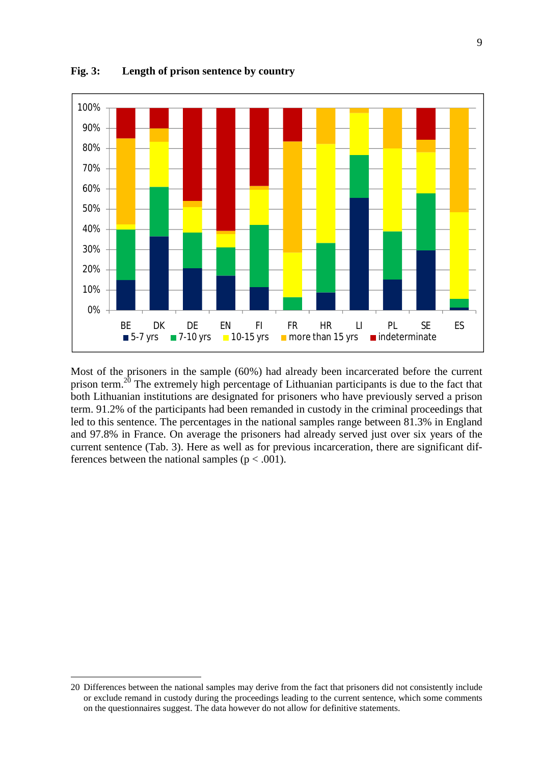

**Fig. 3: Length of prison sentence by country**

Most of the prisoners in the sample (60%) had already been incarcerated before the current prison term.<sup>20</sup> The extremely high percentage of Lithuanian participants is due to the fact that both Lithuanian institutions are designated for prisoners who have previously served a prison term. 91.2% of the participants had been remanded in custody in the criminal proceedings that led to this sentence. The percentages in the national samples range between 81.3% in England and 97.8% in France. On average the prisoners had already served just over six years of the current sentence (Tab. 3). Here as well as for previous incarceration, there are significant differences between the national samples ( $p < .001$ ).

<sup>20</sup> Differences between the national samples may derive from the fact that prisoners did not consistently include or exclude remand in custody during the proceedings leading to the current sentence, which some comments on the questionnaires suggest. The data however do not allow for definitive statements.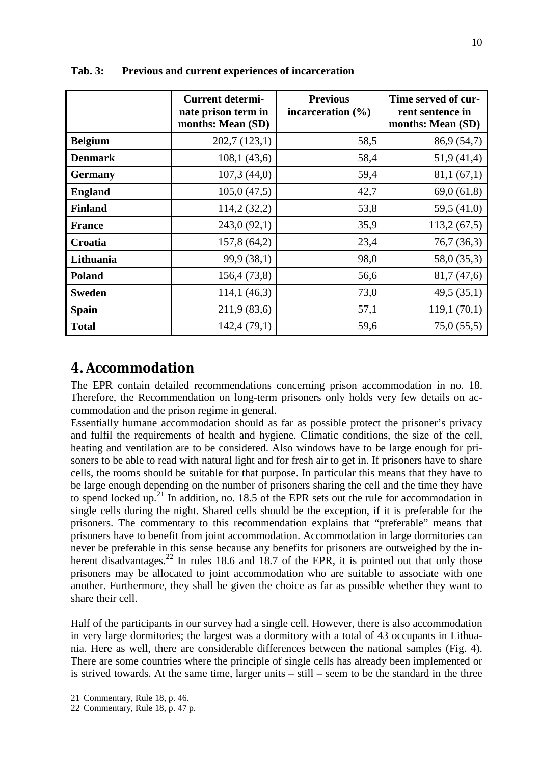|                | <b>Current determi-</b><br>nate prison term in<br>months: Mean (SD) | <b>Previous</b><br>incarceration $(\% )$ | Time served of cur-<br>rent sentence in<br>months: Mean (SD) |
|----------------|---------------------------------------------------------------------|------------------------------------------|--------------------------------------------------------------|
| <b>Belgium</b> | 202,7(123,1)                                                        | 58,5                                     | 86,9 (54,7)                                                  |
| <b>Denmark</b> | 108,1(43,6)                                                         | 58,4                                     | 51,9(41,4)                                                   |
| <b>Germany</b> | 107,3(44,0)                                                         | 59,4                                     | 81,1(67,1)                                                   |
| <b>England</b> | 105,0(47,5)                                                         | 42,7                                     | 69,0(61,8)                                                   |
| <b>Finland</b> | 114,2(32,2)                                                         | 53,8                                     | 59,5 (41,0)                                                  |
| <b>France</b>  | 243,0(92,1)                                                         | 35,9                                     | 113,2(67,5)                                                  |
| Croatia        | 157,8 (64,2)                                                        | 23,4                                     | 76,7(36,3)                                                   |
| Lithuania      | 99,9 (38,1)                                                         | 98,0                                     | 58,0 (35,3)                                                  |
| <b>Poland</b>  | 156,4(73,8)                                                         | 56,6                                     | 81,7 (47,6)                                                  |
| <b>Sweden</b>  | 114,1(46,3)                                                         | 73,0                                     | 49,5(35,1)                                                   |
| <b>Spain</b>   | 211,9 (83,6)                                                        | 57,1                                     | 119,1(70,1)                                                  |
| <b>Total</b>   | 142,4 (79,1)                                                        | 59,6                                     | 75,0(55,5)                                                   |

**Tab. 3: Previous and current experiences of incarceration**

## **4. Accommodation**

The EPR contain detailed recommendations concerning prison accommodation in no. 18. Therefore, the Recommendation on long-term prisoners only holds very few details on accommodation and the prison regime in general.

Essentially humane accommodation should as far as possible protect the prisoner's privacy and fulfil the requirements of health and hygiene. Climatic conditions, the size of the cell, heating and ventilation are to be considered. Also windows have to be large enough for prisoners to be able to read with natural light and for fresh air to get in. If prisoners have to share cells, the rooms should be suitable for that purpose. In particular this means that they have to be large enough depending on the number of prisoners sharing the cell and the time they have to spend locked up. <sup>21</sup> In addition, no. 18.5 of the EPR sets out the rule for accommodation in single cells during the night. Shared cells should be the exception, if it is preferable for the prisoners. The commentary to this recommendation explains that "preferable" means that prisoners have to benefit from joint accommodation. Accommodation in large dormitories can never be preferable in this sense because any benefits for prisoners are outweighed by the inherent disadvantages.<sup>22</sup> In rules 18.6 and 18.7 of the EPR, it is pointed out that only those prisoners may be allocated to joint accommodation who are suitable to associate with one another. Furthermore, they shall be given the choice as far as possible whether they want to share their cell.

Half of the participants in our survey had a single cell. However, there is also accommodation in very large dormitories; the largest was a dormitory with a total of 43 occupants in Lithuania. Here as well, there are considerable differences between the national samples (Fig. 4). There are some countries where the principle of single cells has already been implemented or is strived towards. At the same time, larger units – still – seem to be the standard in the three

<sup>21</sup> Commentary, Rule 18, p. 46.

<sup>22</sup> Commentary, Rule 18, p. 47 p.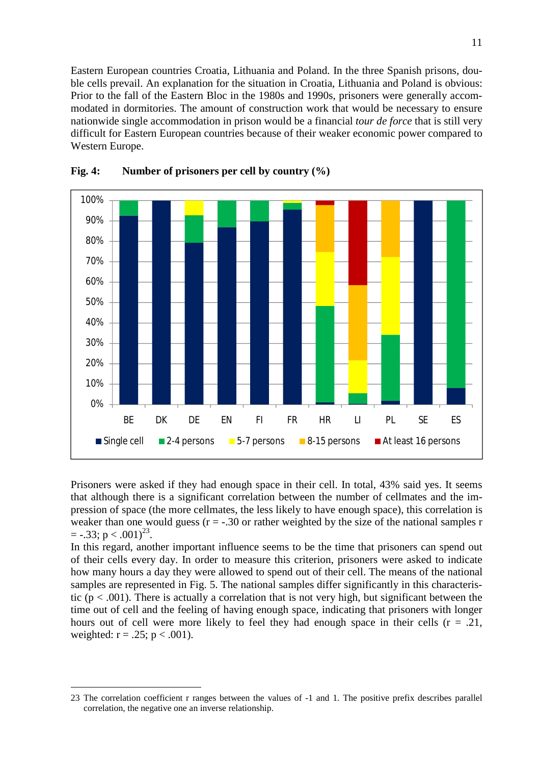Eastern European countries Croatia, Lithuania and Poland. In the three Spanish prisons, double cells prevail. An explanation for the situation in Croatia, Lithuania and Poland is obvious: Prior to the fall of the Eastern Bloc in the 1980s and 1990s, prisoners were generally accommodated in dormitories. The amount of construction work that would be necessary to ensure nationwide single accommodation in prison would be a financial *tour de force* that is still very difficult for Eastern European countries because of their weaker economic power compared to Western Europe.



#### **Fig. 4: Number of prisoners per cell by country (%)**

Prisoners were asked if they had enough space in their cell. In total, 43% said yes. It seems that although there is a significant correlation between the number of cellmates and the impression of space (the more cellmates, the less likely to have enough space), this correlation is weaker than one would guess  $(r = -.30$  or rather weighted by the size of the national samples r  $=$  -.33; p < .001)<sup>23</sup>.

In this regard, another important influence seems to be the time that prisoners can spend out of their cells every day. In order to measure this criterion, prisoners were asked to indicate how many hours a day they were allowed to spend out of their cell. The means of the national samples are represented in Fig. 5. The national samples differ significantly in this characteristic ( $p < .001$ ). There is actually a correlation that is not very high, but significant between the time out of cell and the feeling of having enough space, indicating that prisoners with longer hours out of cell were more likely to feel they had enough space in their cells  $(r = .21, )$ weighted:  $r = .25$ ;  $p < .001$ ).

<sup>23</sup> The correlation coefficient r ranges between the values of -1 and 1. The positive prefix describes parallel correlation, the negative one an inverse relationship.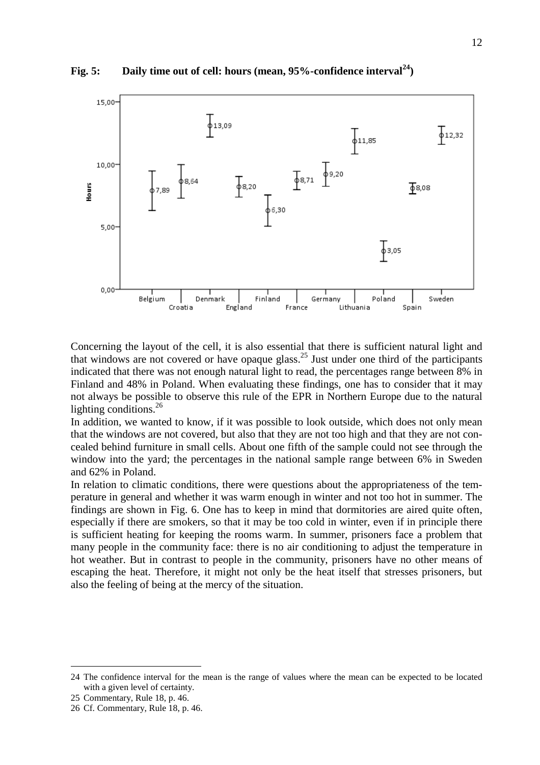**Fig. 5: Daily time out of cell: hours (mean, 95%-confidence interval<sup>24</sup>)**



Concerning the layout of the cell, it is also essential that there is sufficient natural light and that windows are not covered or have opaque glass.<sup>25</sup> Just under one third of the participants indicated that there was not enough natural light to read, the percentages range between 8% in Finland and 48% in Poland. When evaluating these findings, one has to consider that it may not always be possible to observe this rule of the EPR in Northern Europe due to the natural lighting conditions. $^{26}$ 

In addition, we wanted to know, if it was possible to look outside, which does not only mean that the windows are not covered, but also that they are not too high and that they are not concealed behind furniture in small cells. About one fifth of the sample could not see through the window into the yard; the percentages in the national sample range between 6% in Sweden and 62% in Poland.

In relation to climatic conditions, there were questions about the appropriateness of the temperature in general and whether it was warm enough in winter and not too hot in summer. The findings are shown in Fig. 6. One has to keep in mind that dormitories are aired quite often, especially if there are smokers, so that it may be too cold in winter, even if in principle there is sufficient heating for keeping the rooms warm. In summer, prisoners face a problem that many people in the community face: there is no air conditioning to adjust the temperature in hot weather. But in contrast to people in the community, prisoners have no other means of escaping the heat. Therefore, it might not only be the heat itself that stresses prisoners, but also the feeling of being at the mercy of the situation.

<sup>24</sup> The confidence interval for the mean is the range of values where the mean can be expected to be located with a given level of certainty.

<sup>25</sup> Commentary, Rule 18, p. 46.

<sup>26</sup> Cf. Commentary, Rule 18, p. 46.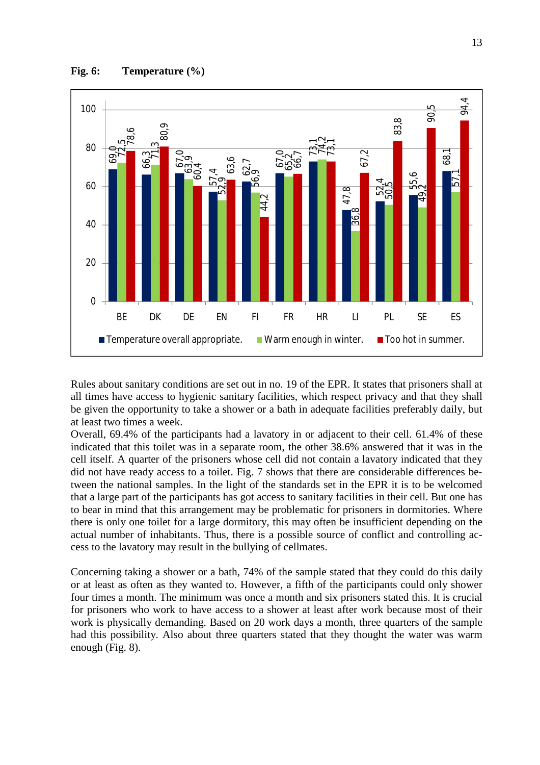

Rules about sanitary conditions are set out in no. 19 of the EPR. It states that prisoners shall at all times have access to hygienic sanitary facilities, which respect privacy and that they shall be given the opportunity to take a shower or a bath in adequate facilities preferably daily, but at least two times a week.

Overall, 69.4% of the participants had a lavatory in or adjacent to their cell. 61.4% of these indicated that this toilet was in a separate room, the other 38.6% answered that it was in the cell itself. A quarter of the prisoners whose cell did not contain a lavatory indicated that they did not have ready access to a toilet. Fig. 7 shows that there are considerable differences between the national samples. In the light of the standards set in the EPR it is to be welcomed that a large part of the participants has got access to sanitary facilities in their cell. But one has to bear in mind that this arrangement may be problematic for prisoners in dormitories. Where there is only one toilet for a large dormitory, this may often be insufficient depending on the actual number of inhabitants. Thus, there is a possible source of conflict and controlling access to the lavatory may result in the bullying of cellmates.

Concerning taking a shower or a bath, 74% of the sample stated that they could do this daily or at least as often as they wanted to. However, a fifth of the participants could only shower four times a month. The minimum was once a month and six prisoners stated this. It is crucial for prisoners who work to have access to a shower at least after work because most of their work is physically demanding. Based on 20 work days a month, three quarters of the sample had this possibility. Also about three quarters stated that they thought the water was warm enough (Fig. 8).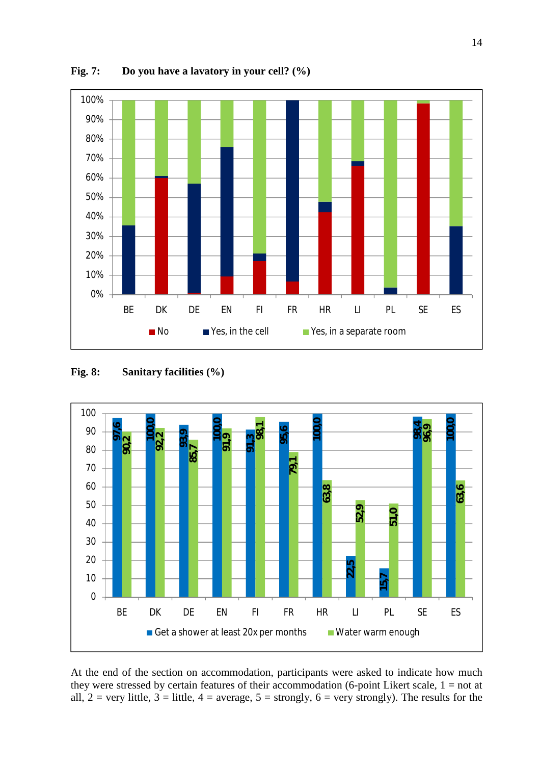

**Fig. 7: Do you have a lavatory in your cell? (%)**

#### **Fig. 8: Sanitary facilities (%)**



At the end of the section on accommodation, participants were asked to indicate how much they were stressed by certain features of their accommodation (6-point Likert scale,  $1 = not$  at all,  $2 = \text{very little}, 3 = \text{little}, 4 = \text{average}, 5 = \text{strongly}, 6 = \text{very strongly}.$  The results for the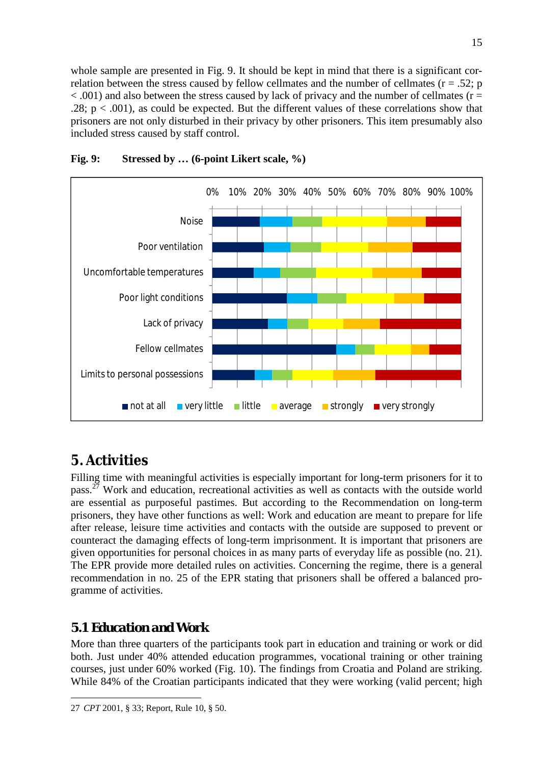whole sample are presented in Fig. 9. It should be kept in mind that there is a significant correlation between the stress caused by fellow cellmates and the number of cellmates ( $r = .52$ ; p  $< .001$ ) and also between the stress caused by lack of privacy and the number of cellmates ( $r =$ .28;  $p < .001$ ), as could be expected. But the different values of these correlations show that prisoners are not only disturbed in their privacy by other prisoners. This item presumably also included stress caused by staff control.



### **Fig. 9: Stressed by … (6-point Likert scale, %)**

# **5. Activities**

Filling time with meaningful activities is especially important for long-term prisoners for it to pass.<sup>27</sup> Work and education, recreational activities as well as contacts with the outside world are essential as purposeful pastimes. But according to the Recommendation on long-term prisoners, they have other functions as well: Work and education are meant to prepare for life after release, leisure time activities and contacts with the outside are supposed to prevent or counteract the damaging effects of long-term imprisonment. It is important that prisoners are given opportunities for personal choices in as many parts of everyday life as possible (no. 21). The EPR provide more detailed rules on activities. Concerning the regime, there is a general recommendation in no. 25 of the EPR stating that prisoners shall be offered a balanced programme of activities.

## *5.1 Education and Work*

More than three quarters of the participants took part in education and training or work or did both. Just under 40% attended education programmes, vocational training or other training courses, just under 60% worked (Fig. 10). The findings from Croatia and Poland are striking. While 84% of the Croatian participants indicated that they were working (valid percent; high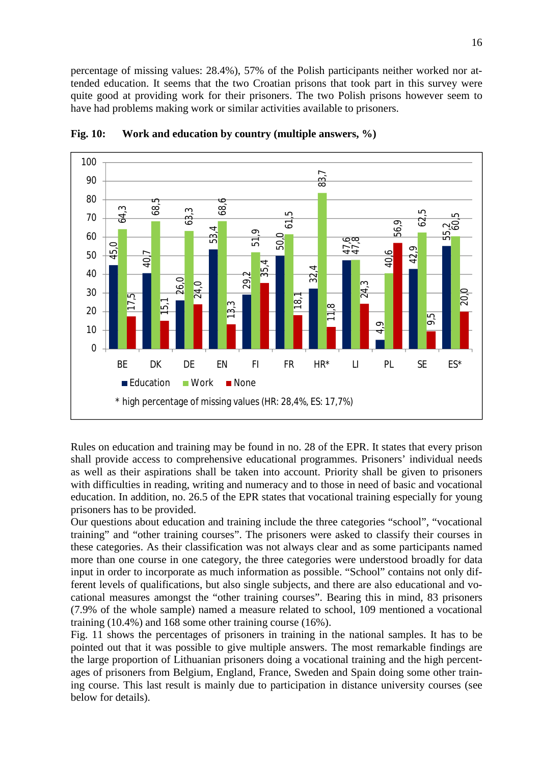percentage of missing values: 28.4%), 57% of the Polish participants neither worked nor attended education. It seems that the two Croatian prisons that took part in this survey were quite good at providing work for their prisoners. The two Polish prisons however seem to have had problems making work or similar activities available to prisoners.



**Fig. 10: Work and education by country (multiple answers, %)**

Rules on education and training may be found in no. 28 of the EPR. It states that every prison shall provide access to comprehensive educational programmes. Prisoners' individual needs as well as their aspirations shall be taken into account. Priority shall be given to prisoners with difficulties in reading, writing and numeracy and to those in need of basic and vocational education. In addition, no. 26.5 of the EPR states that vocational training especially for young prisoners has to be provided.

Our questions about education and training include the three categories "school", "vocational training" and "other training courses". The prisoners were asked to classify their courses in these categories. As their classification was not always clear and as some participants named more than one course in one category, the three categories were understood broadly for data input in order to incorporate as much information as possible. "School" contains not only different levels of qualifications, but also single subjects, and there are also educational and vocational measures amongst the "other training courses". Bearing this in mind, 83 prisoners (7.9% of the whole sample) named a measure related to school, 109 mentioned a vocational training (10.4%) and 168 some other training course (16%).

Fig. 11 shows the percentages of prisoners in training in the national samples. It has to be pointed out that it was possible to give multiple answers. The most remarkable findings are the large proportion of Lithuanian prisoners doing a vocational training and the high percentages of prisoners from Belgium, England, France, Sweden and Spain doing some other training course. This last result is mainly due to participation in distance university courses (see below for details).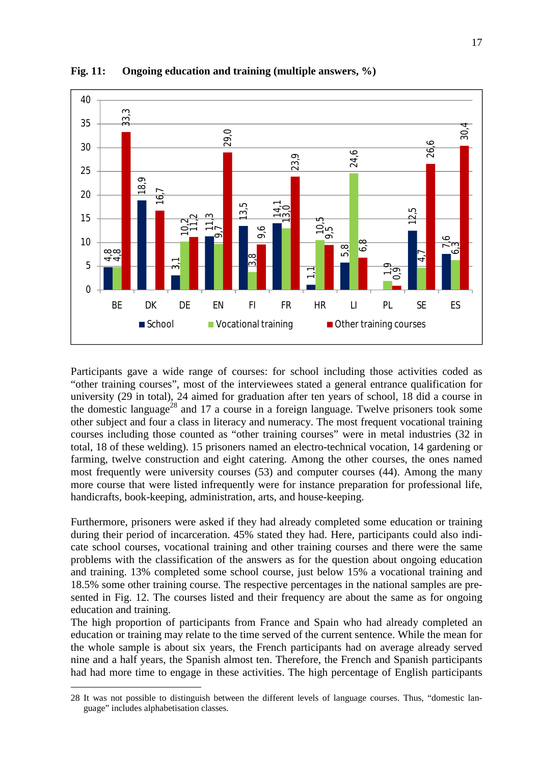

**Fig. 11: Ongoing education and training (multiple answers, %)**

Participants gave a wide range of courses: for school including those activities coded as "other training courses", most of the interviewees stated a general entrance qualification for university (29 in total), 24 aimed for graduation after ten years of school, 18 did a course in the domestic language<sup>28</sup> and 17 a course in a foreign language. Twelve prisoners took some other subject and four a class in literacy and numeracy. The most frequent vocational training courses including those counted as "other training courses" were in metal industries (32 in total, 18 of these welding). 15 prisoners named an electro-technical vocation, 14 gardening or farming, twelve construction and eight catering. Among the other courses, the ones named most frequently were university courses (53) and computer courses (44). Among the many more course that were listed infrequently were for instance preparation for professional life, handicrafts, book-keeping, administration, arts, and house-keeping.

Furthermore, prisoners were asked if they had already completed some education or training during their period of incarceration. 45% stated they had. Here, participants could also indicate school courses, vocational training and other training courses and there were the same problems with the classification of the answers as for the question about ongoing education and training. 13% completed some school course, just below 15% a vocational training and 18.5% some other training course. The respective percentages in the national samples are presented in Fig. 12. The courses listed and their frequency are about the same as for ongoing education and training.

The high proportion of participants from France and Spain who had already completed an education or training may relate to the time served of the current sentence. While the mean for the whole sample is about six years, the French participants had on average already served nine and a half years, the Spanish almost ten. Therefore, the French and Spanish participants had had more time to engage in these activities. The high percentage of English participants

<sup>28</sup> It was not possible to distinguish between the different levels of language courses. Thus, "domestic language" includes alphabetisation classes.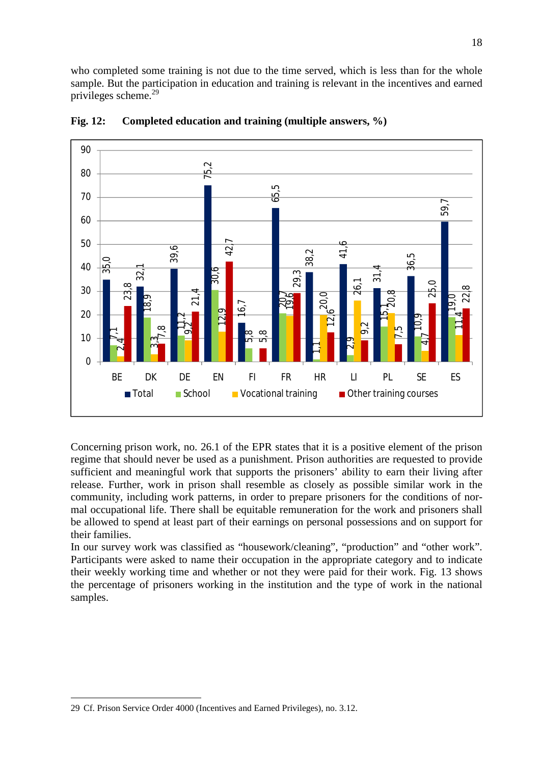who completed some training is not due to the time served, which is less than for the whole sample. But the participation in education and training is relevant in the incentives and earned privileges scheme. 29



**Fig. 12: Completed education and training (multiple answers, %)**

Concerning prison work, no. 26.1 of the EPR states that it is a positive element of the prison regime that should never be used as a punishment. Prison authorities are requested to provide sufficient and meaningful work that supports the prisoners' ability to earn their living after release. Further, work in prison shall resemble as closely as possible similar work in the community, including work patterns, in order to prepare prisoners for the conditions of normal occupational life. There shall be equitable remuneration for the work and prisoners shall be allowed to spend at least part of their earnings on personal possessions and on support for their families.

In our survey work was classified as "housework/cleaning", "production" and "other work". Participants were asked to name their occupation in the appropriate category and to indicate their weekly working time and whether or not they were paid for their work. Fig. 13 shows the percentage of prisoners working in the institution and the type of work in the national samples.

<sup>29</sup> Cf. Prison Service Order 4000 (Incentives and Earned Privileges), no. 3.12.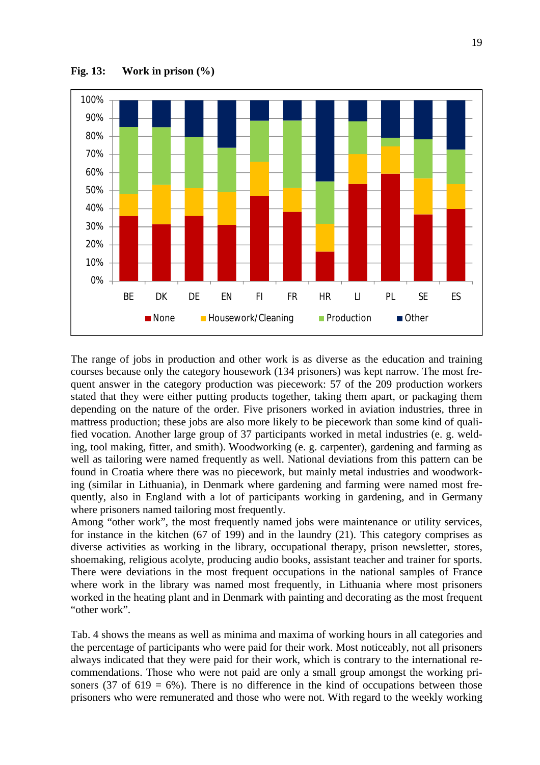

**Fig. 13: Work in prison (%)**

The range of jobs in production and other work is as diverse as the education and training courses because only the category housework (134 prisoners) was kept narrow. The most frequent answer in the category production was piecework: 57 of the 209 production workers stated that they were either putting products together, taking them apart, or packaging them depending on the nature of the order. Five prisoners worked in aviation industries, three in mattress production; these jobs are also more likely to be piecework than some kind of qualified vocation. Another large group of 37 participants worked in metal industries (e. g. welding, tool making, fitter, and smith). Woodworking (e. g. carpenter), gardening and farming as well as tailoring were named frequently as well. National deviations from this pattern can be found in Croatia where there was no piecework, but mainly metal industries and woodworking (similar in Lithuania), in Denmark where gardening and farming were named most frequently, also in England with a lot of participants working in gardening, and in Germany where prisoners named tailoring most frequently.

Among "other work", the most frequently named jobs were maintenance or utility services, for instance in the kitchen (67 of 199) and in the laundry (21). This category comprises as diverse activities as working in the library, occupational therapy, prison newsletter, stores, shoemaking, religious acolyte, producing audio books, assistant teacher and trainer for sports. There were deviations in the most frequent occupations in the national samples of France where work in the library was named most frequently, in Lithuania where most prisoners worked in the heating plant and in Denmark with painting and decorating as the most frequent "other work".

Tab. 4 shows the means as well as minima and maxima of working hours in all categories and the percentage of participants who were paid for their work. Most noticeably, not all prisoners always indicated that they were paid for their work, which is contrary to the international recommendations. Those who were not paid are only a small group amongst the working prisoners (37 of 619 = 6%). There is no difference in the kind of occupations between those prisoners who were remunerated and those who were not. With regard to the weekly working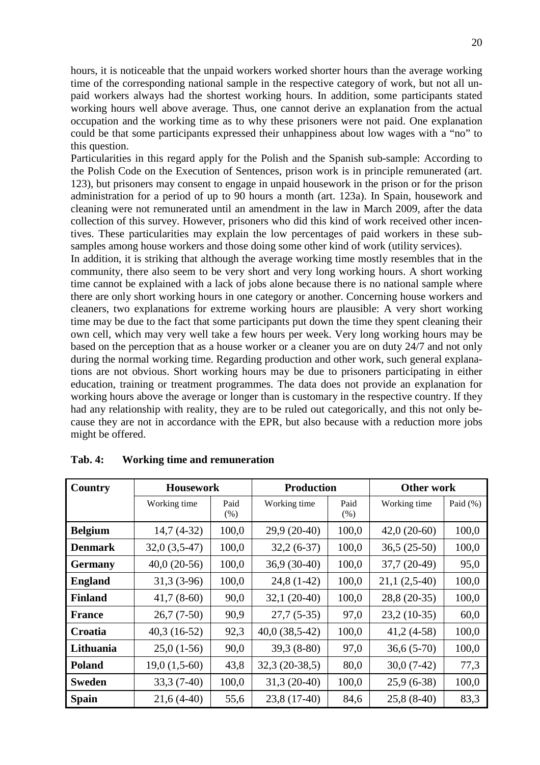hours, it is noticeable that the unpaid workers worked shorter hours than the average working time of the corresponding national sample in the respective category of work, but not all unpaid workers always had the shortest working hours. In addition, some participants stated working hours well above average. Thus, one cannot derive an explanation from the actual occupation and the working time as to why these prisoners were not paid. One explanation could be that some participants expressed their unhappiness about low wages with a "no" to this question.

Particularities in this regard apply for the Polish and the Spanish sub-sample: According to the Polish Code on the Execution of Sentences, prison work is in principle remunerated (art. 123), but prisoners may consent to engage in unpaid housework in the prison or for the prison administration for a period of up to 90 hours a month (art. 123a). In Spain, housework and cleaning were not remunerated until an amendment in the law in March 2009, after the data collection of this survey. However, prisoners who did this kind of work received other incentives. These particularities may explain the low percentages of paid workers in these subsamples among house workers and those doing some other kind of work (utility services).

In addition, it is striking that although the average working time mostly resembles that in the community, there also seem to be very short and very long working hours. A short working time cannot be explained with a lack of jobs alone because there is no national sample where there are only short working hours in one category or another. Concerning house workers and cleaners, two explanations for extreme working hours are plausible: A very short working time may be due to the fact that some participants put down the time they spent cleaning their own cell, which may very well take a few hours per week. Very long working hours may be based on the perception that as a house worker or a cleaner you are on duty 24/7 and not only during the normal working time. Regarding production and other work, such general explanations are not obvious. Short working hours may be due to prisoners participating in either education, training or treatment programmes. The data does not provide an explanation for working hours above the average or longer than is customary in the respective country. If they had any relationship with reality, they are to be ruled out categorically, and this not only because they are not in accordance with the EPR, but also because with a reduction more jobs might be offered.

| Country        | <b>Housework</b> |              | <b>Production</b> |              | Other work     |             |
|----------------|------------------|--------------|-------------------|--------------|----------------|-------------|
|                | Working time     | Paid<br>(% ) | Working time      | Paid<br>(% ) | Working time   | Paid $(\%)$ |
| <b>Belgium</b> | $14,7(4-32)$     | 100,0        | $29,9(20-40)$     | 100,0        | $42,0(20-60)$  | 100,0       |
| <b>Denmark</b> | $32,0(3,5-47)$   | 100,0        | $32,2(6-37)$      | 100,0        | $36,5(25-50)$  | 100,0       |
| <b>Germany</b> | $40,0(20-56)$    | 100,0        | $36,9(30-40)$     | 100,0        | $37,7(20-49)$  | 95,0        |
| <b>England</b> | $31,3(3-96)$     | 100,0        | $24,8(1-42)$      | 100,0        | $21,1(2,5-40)$ | 100,0       |
| <b>Finland</b> | $41,7(8-60)$     | 90,0         | $32,1(20-40)$     | 100,0        | 28,8 (20-35)   | 100,0       |
| <b>France</b>  | $26,7(7-50)$     | 90,9         | $27,7(5-35)$      | 97,0         | $23,2(10-35)$  | 60,0        |
| Croatia        | $40,3(16-52)$    | 92,3         | $40,0(38,5-42)$   | 100,0        | $41,2(4-58)$   | 100,0       |
| Lithuania      | $25,0(1-56)$     | 90,0         | $39,3(8-80)$      | 97,0         | $36,6(5-70)$   | 100,0       |
| <b>Poland</b>  | $19,0(1,5-60)$   | 43,8         | $32,3(20-38,5)$   | 80,0         | $30,0(7-42)$   | 77,3        |
| <b>Sweden</b>  | $33,3(7-40)$     | 100,0        | $31,3(20-40)$     | 100,0        | $25,9(6-38)$   | 100,0       |
| <b>Spain</b>   | $21,6(4-40)$     | 55,6         | 23,8 (17-40)      | 84,6         | $25,8(8-40)$   | 83,3        |

**Tab. 4: Working time and remuneration**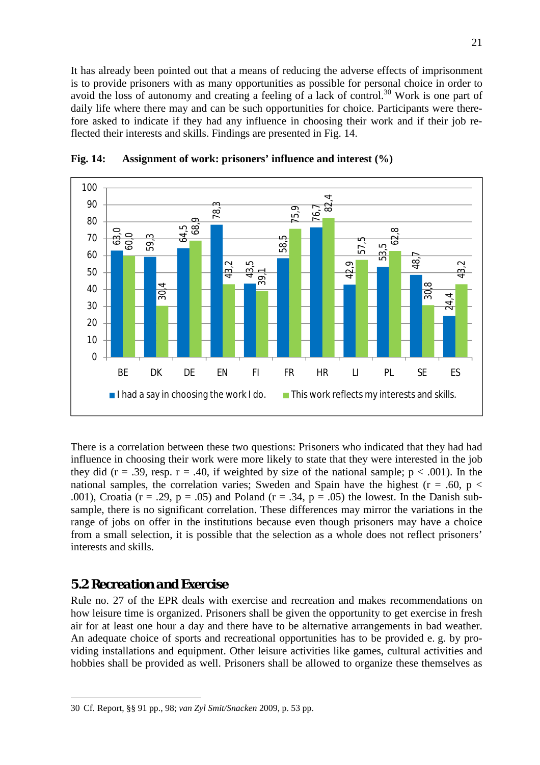It has already been pointed out that a means of reducing the adverse effects of imprisonment is to provide prisoners with as many opportunities as possible for personal choice in order to avoid the loss of autonomy and creating a feeling of a lack of control. <sup>30</sup> Work is one part of daily life where there may and can be such opportunities for choice. Participants were therefore asked to indicate if they had any influence in choosing their work and if their job reflected their interests and skills. Findings are presented in Fig. 14.



**Fig. 14: Assignment of work: prisoners' influence and interest (%)**

There is a correlation between these two questions: Prisoners who indicated that they had had influence in choosing their work were more likely to state that they were interested in the job they did ( $r = .39$ , resp.  $r = .40$ , if weighted by size of the national sample;  $p < .001$ ). In the national samples, the correlation varies; Sweden and Spain have the highest ( $r = .60$ ,  $p <$ .001), Croatia (r = .29, p = .05) and Poland (r = .34, p = .05) the lowest. In the Danish subsample, there is no significant correlation. These differences may mirror the variations in the range of jobs on offer in the institutions because even though prisoners may have a choice from a small selection, it is possible that the selection as a whole does not reflect prisoners' interests and skills.

### *5.2 Recreation and Exercise*

Rule no. 27 of the EPR deals with exercise and recreation and makes recommendations on how leisure time is organized. Prisoners shall be given the opportunity to get exercise in fresh air for at least one hour a day and there have to be alternative arrangements in bad weather. An adequate choice of sports and recreational opportunities has to be provided e. g. by providing installations and equipment. Other leisure activities like games, cultural activities and hobbies shall be provided as well. Prisoners shall be allowed to organize these themselves as

<sup>30</sup> Cf. Report, §§ 91 pp., 98; *van Zyl Smit/Snacken* 2009, p. 53 pp.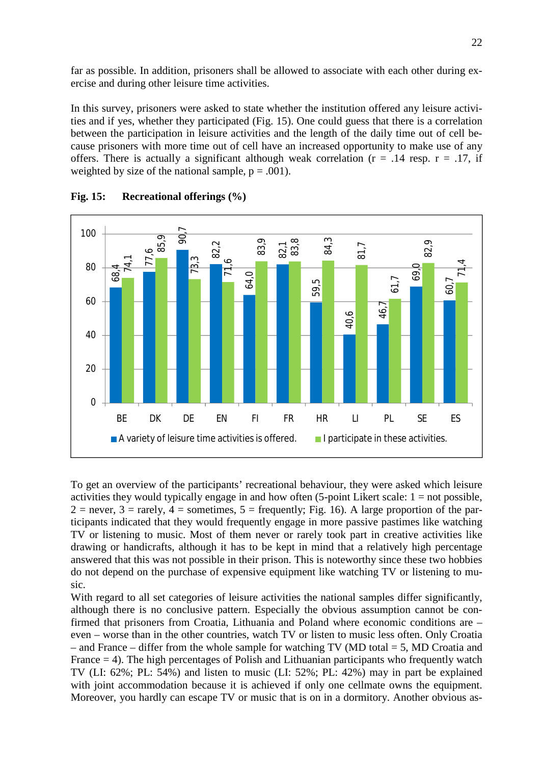far as possible. In addition, prisoners shall be allowed to associate with each other during exercise and during other leisure time activities.

In this survey, prisoners were asked to state whether the institution offered any leisure activities and if yes, whether they participated (Fig. 15). One could guess that there is a correlation between the participation in leisure activities and the length of the daily time out of cell because prisoners with more time out of cell have an increased opportunity to make use of any offers. There is actually a significant although weak correlation ( $r = .14$  resp.  $r = .17$ , if weighted by size of the national sample,  $p = .001$ ).



**Fig. 15: Recreational offerings (%)**

To get an overview of the participants' recreational behaviour, they were asked which leisure activities they would typically engage in and how often  $(5\text{-point Likert scale: } 1 = \text{not possible},$  $2 =$  never,  $3 =$  rarely,  $4 =$  sometimes,  $5 =$  frequently; Fig. 16). A large proportion of the participants indicated that they would frequently engage in more passive pastimes like watching TV or listening to music. Most of them never or rarely took part in creative activities like drawing or handicrafts, although it has to be kept in mind that a relatively high percentage answered that this was not possible in their prison. This is noteworthy since these two hobbies do not depend on the purchase of expensive equipment like watching TV or listening to music.

With regard to all set categories of leisure activities the national samples differ significantly, although there is no conclusive pattern. Especially the obvious assumption cannot be confirmed that prisoners from Croatia, Lithuania and Poland where economic conditions are – even – worse than in the other countries, watch TV or listen to music less often. Only Croatia – and France – differ from the whole sample for watching TV (MD total  $=$  5, MD Croatia and France = 4). The high percentages of Polish and Lithuanian participants who frequently watch TV (LI: 62%; PL: 54%) and listen to music (LI: 52%; PL: 42%) may in part be explained with joint accommodation because it is achieved if only one cellmate owns the equipment. Moreover, you hardly can escape TV or music that is on in a dormitory. Another obvious as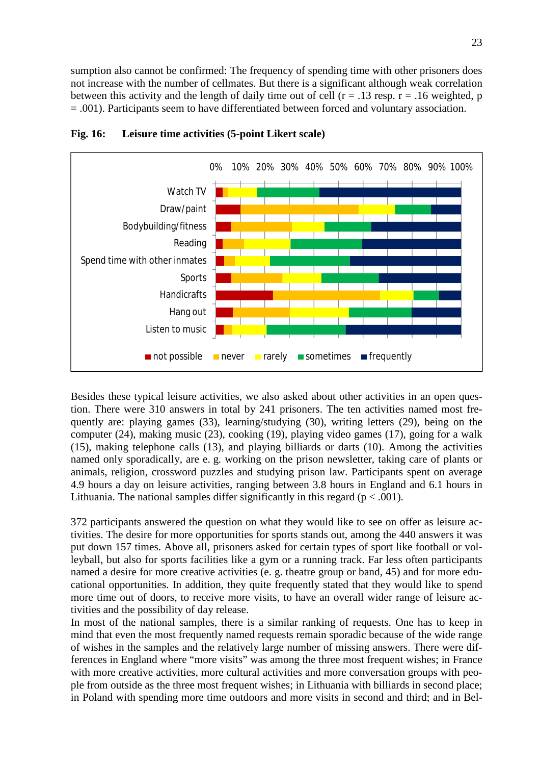sumption also cannot be confirmed: The frequency of spending time with other prisoners does not increase with the number of cellmates. But there is a significant although weak correlation between this activity and the length of daily time out of cell  $(r = .13$  resp.  $r = .16$  weighted, p = .001). Participants seem to have differentiated between forced and voluntary association.



**Fig. 16: Leisure time activities (5-point Likert scale)**

Besides these typical leisure activities, we also asked about other activities in an open question. There were 310 answers in total by 241 prisoners. The ten activities named most frequently are: playing games (33), learning/studying (30), writing letters (29), being on the computer (24), making music (23), cooking (19), playing video games (17), going for a walk (15), making telephone calls (13), and playing billiards or darts (10). Among the activities named only sporadically, are e. g. working on the prison newsletter, taking care of plants or animals, religion, crossword puzzles and studying prison law. Participants spent on average 4.9 hours a day on leisure activities, ranging between 3.8 hours in England and 6.1 hours in Lithuania. The national samples differ significantly in this regard ( $p < .001$ ).

372 participants answered the question on what they would like to see on offer as leisure activities. The desire for more opportunities for sports stands out, among the 440 answers it was put down 157 times. Above all, prisoners asked for certain types of sport like football or volleyball, but also for sports facilities like a gym or a running track. Far less often participants named a desire for more creative activities (e. g. theatre group or band, 45) and for more educational opportunities. In addition, they quite frequently stated that they would like to spend more time out of doors, to receive more visits, to have an overall wider range of leisure activities and the possibility of day release.

In most of the national samples, there is a similar ranking of requests. One has to keep in mind that even the most frequently named requests remain sporadic because of the wide range of wishes in the samples and the relatively large number of missing answers. There were differences in England where "more visits" was among the three most frequent wishes; in France with more creative activities, more cultural activities and more conversation groups with people from outside as the three most frequent wishes; in Lithuania with billiards in second place; in Poland with spending more time outdoors and more visits in second and third; and in Bel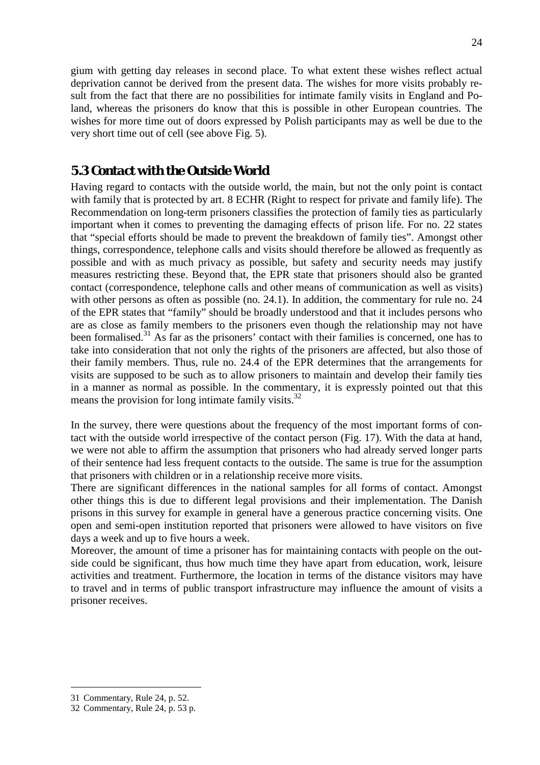gium with getting day releases in second place. To what extent these wishes reflect actual deprivation cannot be derived from the present data. The wishes for more visits probably result from the fact that there are no possibilities for intimate family visits in England and Poland, whereas the prisoners do know that this is possible in other European countries. The wishes for more time out of doors expressed by Polish participants may as well be due to the very short time out of cell (see above Fig. 5).

### *5.3 Contact with the Outside World*

Having regard to contacts with the outside world, the main, but not the only point is contact with family that is protected by art. 8 ECHR (Right to respect for private and family life). The Recommendation on long-term prisoners classifies the protection of family ties as particularly important when it comes to preventing the damaging effects of prison life. For no. 22 states that "special efforts should be made to prevent the breakdown of family ties". Amongst other things, correspondence, telephone calls and visits should therefore be allowed as frequently as possible and with as much privacy as possible, but safety and security needs may justify measures restricting these. Beyond that, the EPR state that prisoners should also be granted contact (correspondence, telephone calls and other means of communication as well as visits) with other persons as often as possible (no. 24.1). In addition, the commentary for rule no. 24 of the EPR states that "family" should be broadly understood and that it includes persons who are as close as family members to the prisoners even though the relationship may not have been formalised.<sup>31</sup> As far as the prisoners' contact with their families is concerned, one has to take into consideration that not only the rights of the prisoners are affected, but also those of their family members. Thus, rule no. 24.4 of the EPR determines that the arrangements for visits are supposed to be such as to allow prisoners to maintain and develop their family ties in a manner as normal as possible. In the commentary, it is expressly pointed out that this means the provision for long intimate family visits.<sup>32</sup>

In the survey, there were questions about the frequency of the most important forms of contact with the outside world irrespective of the contact person (Fig. 17). With the data at hand, we were not able to affirm the assumption that prisoners who had already served longer parts of their sentence had less frequent contacts to the outside. The same is true for the assumption that prisoners with children or in a relationship receive more visits.

There are significant differences in the national samples for all forms of contact. Amongst other things this is due to different legal provisions and their implementation. The Danish prisons in this survey for example in general have a generous practice concerning visits. One open and semi-open institution reported that prisoners were allowed to have visitors on five days a week and up to five hours a week.

Moreover, the amount of time a prisoner has for maintaining contacts with people on the outside could be significant, thus how much time they have apart from education, work, leisure activities and treatment. Furthermore, the location in terms of the distance visitors may have to travel and in terms of public transport infrastructure may influence the amount of visits a prisoner receives.

<sup>31</sup> Commentary, Rule 24, p. 52.

<sup>32</sup> Commentary, Rule 24, p. 53 p.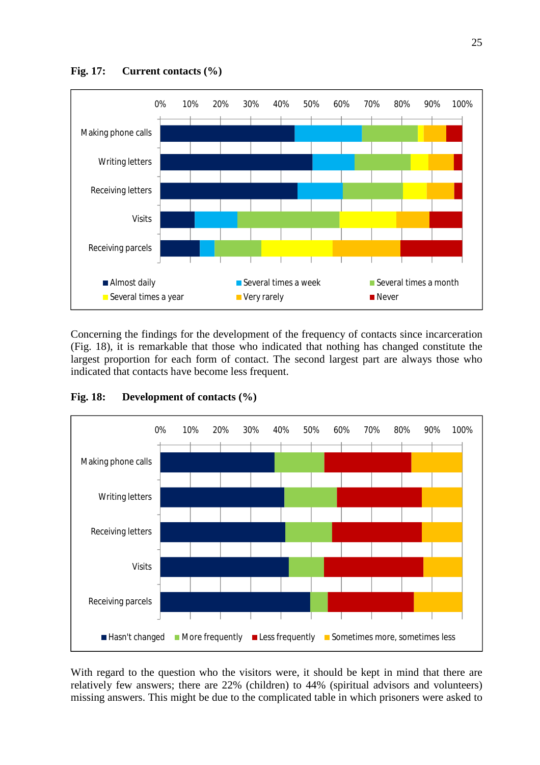

Concerning the findings for the development of the frequency of contacts since incarceration (Fig. 18), it is remarkable that those who indicated that nothing has changed constitute the largest proportion for each form of contact. The second largest part are always those who indicated that contacts have become less frequent.

**Fig. 18: Development of contacts (%)**



With regard to the question who the visitors were, it should be kept in mind that there are relatively few answers; there are 22% (children) to 44% (spiritual advisors and volunteers) missing answers. This might be due to the complicated table in which prisoners were asked to

**Fig. 17: Current contacts (%)**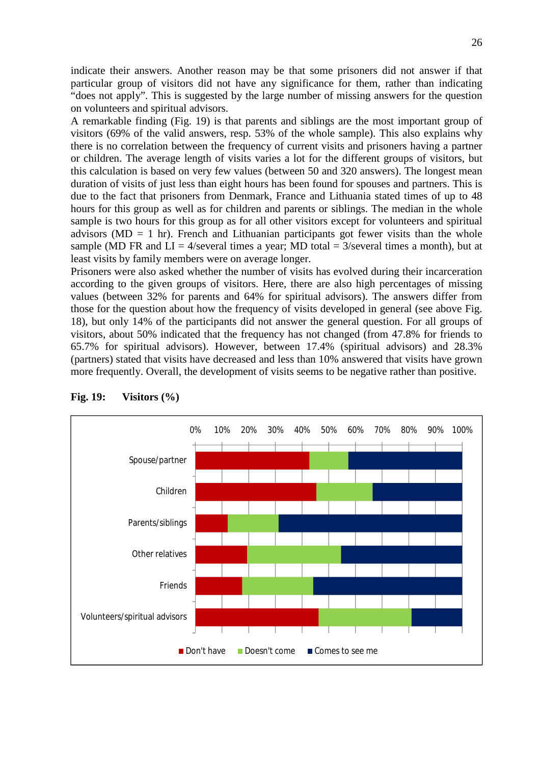indicate their answers. Another reason may be that some prisoners did not answer if that particular group of visitors did not have any significance for them, rather than indicating "does not apply". This is suggested by the large number of missing answers for the question on volunteers and spiritual advisors.

A remarkable finding (Fig. 19) is that parents and siblings are the most important group of visitors (69% of the valid answers, resp. 53% of the whole sample). This also explains why there is no correlation between the frequency of current visits and prisoners having a partner or children. The average length of visits varies a lot for the different groups of visitors, but this calculation is based on very few values (between 50 and 320 answers). The longest mean duration of visits of just less than eight hours has been found for spouses and partners. This is due to the fact that prisoners from Denmark, France and Lithuania stated times of up to 48 hours for this group as well as for children and parents or siblings. The median in the whole sample is two hours for this group as for all other visitors except for volunteers and spiritual advisors ( $MD = 1$  hr). French and Lithuanian participants got fewer visits than the whole sample (MD FR and  $LI = 4$ /several times a year; MD total = 3/several times a month), but at least visits by family members were on average longer.

Prisoners were also asked whether the number of visits has evolved during their incarceration according to the given groups of visitors. Here, there are also high percentages of missing values (between 32% for parents and 64% for spiritual advisors). The answers differ from those for the question about how the frequency of visits developed in general (see above Fig. 18), but only 14% of the participants did not answer the general question. For all groups of visitors, about 50% indicated that the frequency has not changed (from 47.8% for friends to 65.7% for spiritual advisors). However, between 17.4% (spiritual advisors) and 28.3% (partners) stated that visits have decreased and less than 10% answered that visits have grown more frequently. Overall, the development of visits seems to be negative rather than positive.



**Fig. 19: Visitors (%)**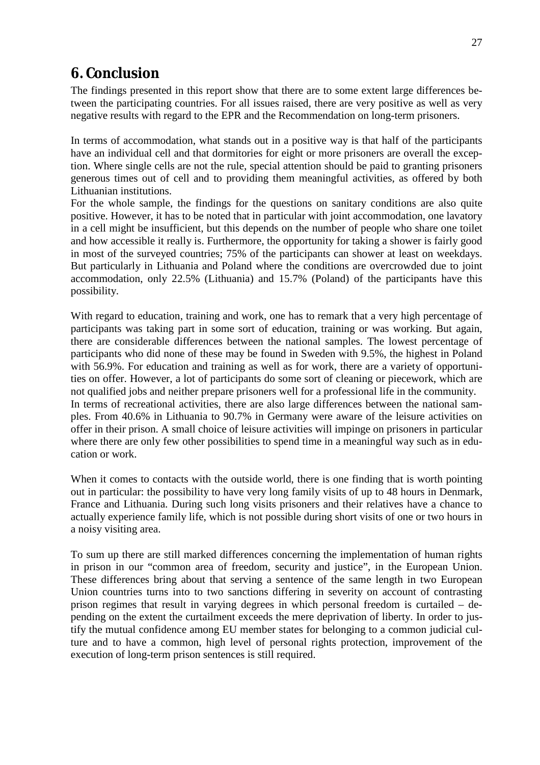# **6. Conclusion**

The findings presented in this report show that there are to some extent large differences between the participating countries. For all issues raised, there are very positive as well as very negative results with regard to the EPR and the Recommendation on long-term prisoners.

In terms of accommodation, what stands out in a positive way is that half of the participants have an individual cell and that dormitories for eight or more prisoners are overall the exception. Where single cells are not the rule, special attention should be paid to granting prisoners generous times out of cell and to providing them meaningful activities, as offered by both Lithuanian institutions.

For the whole sample, the findings for the questions on sanitary conditions are also quite positive. However, it has to be noted that in particular with joint accommodation, one lavatory in a cell might be insufficient, but this depends on the number of people who share one toilet and how accessible it really is. Furthermore, the opportunity for taking a shower is fairly good in most of the surveyed countries; 75% of the participants can shower at least on weekdays. But particularly in Lithuania and Poland where the conditions are overcrowded due to joint accommodation, only 22.5% (Lithuania) and 15.7% (Poland) of the participants have this possibility.

With regard to education, training and work, one has to remark that a very high percentage of participants was taking part in some sort of education, training or was working. But again, there are considerable differences between the national samples. The lowest percentage of participants who did none of these may be found in Sweden with 9.5%, the highest in Poland with 56.9%. For education and training as well as for work, there are a variety of opportunities on offer. However, a lot of participants do some sort of cleaning or piecework, which are not qualified jobs and neither prepare prisoners well for a professional life in the community. In terms of recreational activities, there are also large differences between the national samples. From 40.6% in Lithuania to 90.7% in Germany were aware of the leisure activities on offer in their prison. A small choice of leisure activities will impinge on prisoners in particular where there are only few other possibilities to spend time in a meaningful way such as in education or work.

When it comes to contacts with the outside world, there is one finding that is worth pointing out in particular: the possibility to have very long family visits of up to 48 hours in Denmark, France and Lithuania. During such long visits prisoners and their relatives have a chance to actually experience family life, which is not possible during short visits of one or two hours in a noisy visiting area.

To sum up there are still marked differences concerning the implementation of human rights in prison in our "common area of freedom, security and justice", in the European Union. These differences bring about that serving a sentence of the same length in two European Union countries turns into to two sanctions differing in severity on account of contrasting prison regimes that result in varying degrees in which personal freedom is curtailed – depending on the extent the curtailment exceeds the mere deprivation of liberty. In order to justify the mutual confidence among EU member states for belonging to a common judicial culture and to have a common, high level of personal rights protection, improvement of the execution of long-term prison sentences is still required.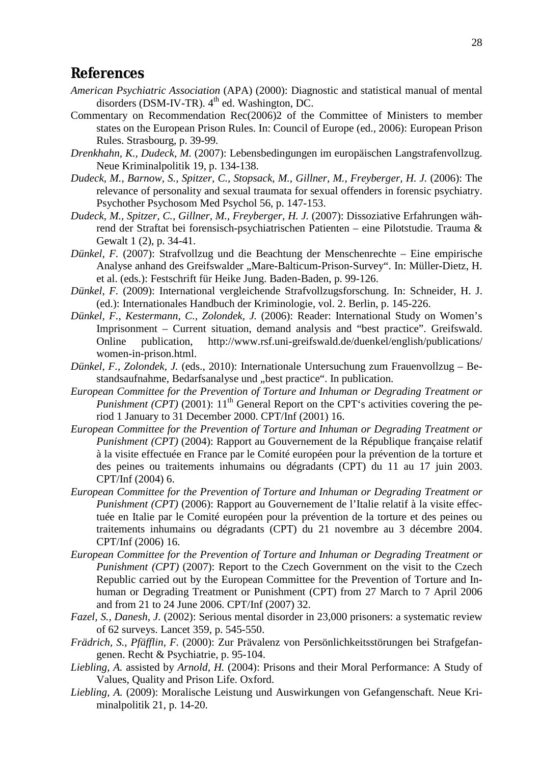### **References**

- *American Psychiatric Association* (APA) (2000): Diagnostic and statistical manual of mental disorders (DSM-IV-TR).  $4<sup>th</sup>$  ed. Washington, DC.
- Commentary on Recommendation Rec(2006)2 of the Committee of Ministers to member states on the European Prison Rules. In: Council of Europe (ed., 2006): European Prison Rules. Strasbourg, p. 39-99.
- *Drenkhahn, K., Dudeck, M.* (2007): Lebensbedingungen im europäischen Langstrafenvollzug. Neue Kriminalpolitik 19, p. 134-138.
- *Dudeck, M., Barnow, S., Spitzer, C., Stopsack, M., Gillner, M., Freyberger, H. J.* (2006): The relevance of personality and sexual traumata for sexual offenders in forensic psychiatry. Psychother Psychosom Med Psychol 56, p. 147-153.
- *Dudeck, M., Spitzer, C., Gillner, M., Freyberger, H. J.* (2007): Dissoziative Erfahrungen während der Straftat bei forensisch-psychiatrischen Patienten – eine Pilotstudie. Trauma & Gewalt 1 (2), p. 34-41.
- *Dünkel, F.* (2007): Strafvollzug und die Beachtung der Menschenrechte Eine empirische Analyse anhand des Greifswalder "Mare-Balticum-Prison-Survey". In: Müller-Dietz, H. et al. (eds.): Festschrift für Heike Jung. Baden-Baden, p. 99-126.
- *Dünkel, F.* (2009): International vergleichende Strafvollzugsforschung. In: Schneider, H. J. (ed.): Internationales Handbuch der Kriminologie, vol. 2. Berlin, p. 145-226.
- *Dünkel, F., Kestermann, C., Zolondek, J.* (2006): Reader: International Study on Women's Imprisonment – Current situation, demand analysis and "best practice". Greifswald. Online publication, <http://www.rsf.uni-greifswald.de/duenkel/english/publications/> women-in-prison.html.
- *Dünkel, F., Zolondek, J.* (eds., 2010): Internationale Untersuchung zum Frauenvollzug Bestandsaufnahme, Bedarfsanalyse und "best practice". In publication.
- *European Committee for the Prevention of Torture and Inhuman or Degrading Treatment or Punishment (CPT)* (2001):  $11<sup>th</sup>$  General Report on the CPT's activities covering the period 1 January to 31 December 2000. CPT/Inf (2001) 16.
- *European Committee for the Prevention of Torture and Inhuman or Degrading Treatment or Punishment (CPT)* (2004): Rapport au Gouvernement de la République française relatif à la visite effectuée en France par le Comité européen pour la prévention de la torture et des peines ou traitements inhumains ou dégradants (CPT) du 11 au 17 juin 2003. CPT/Inf (2004) 6.
- *European Committee for the Prevention of Torture and Inhuman or Degrading Treatment or Punishment (CPT)* (2006): Rapport au Gouvernement de l'Italie relatif à la visite effectuée en Italie par le Comité européen pour la prévention de la torture et des peines ou traitements inhumains ou dégradants (CPT) du 21 novembre au 3 décembre 2004. CPT/Inf (2006) 16.
- *European Committee for the Prevention of Torture and Inhuman or Degrading Treatment or Punishment (CPT)* (2007): Report to the Czech Government on the visit to the Czech Republic carried out by the European Committee for the Prevention of Torture and Inhuman or Degrading Treatment or Punishment (CPT) from 27 March to 7 April 2006 and from 21 to 24 June 2006. CPT/Inf (2007) 32.
- *Fazel, S., Danesh, J.* (2002): Serious mental disorder in 23,000 prisoners: a systematic review of 62 surveys. Lancet 359, p. 545-550.
- *Frädrich, S., Pfäfflin, F.* (2000): Zur Prävalenz von Persönlichkeitsstörungen bei Strafgefangenen. Recht & Psychiatrie, p. 95-104.
- *Liebling, A.* assisted by *Arnold, H.* (2004): Prisons and their Moral Performance: A Study of Values, Quality and Prison Life. Oxford.
- *Liebling, A.* (2009): Moralische Leistung und Auswirkungen von Gefangenschaft. Neue Kriminalpolitik 21, p. 14-20.